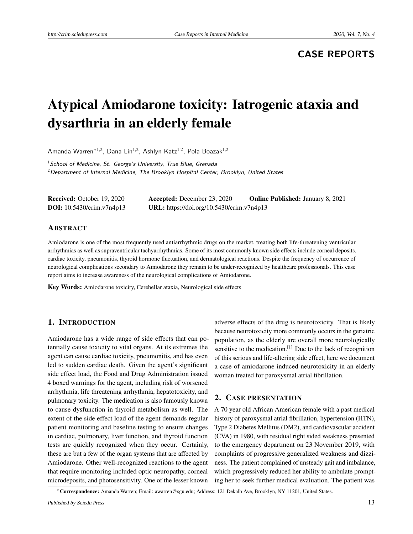# **CASE REPORTS**

# Atypical Amiodarone toxicity: Iatrogenic ataxia and dysarthria in an elderly female

Amanda Warren<sup>\*1,2</sup>, Dana Lin<sup>1,2</sup>, Ashlyn Katz<sup>1,2</sup>, Pola Boazak<sup>1,2</sup>

 $1$  School of Medicine, St. George's University, True Blue, Grenada  $2$ Department of Internal Medicine, The Brooklyn Hospital Center, Brooklyn, United States

| <b>Received:</b> October 19, 2020 | <b>Accepted:</b> December 23, 2020        | <b>Online Published: January 8, 2021</b> |
|-----------------------------------|-------------------------------------------|------------------------------------------|
| <b>DOI:</b> 10.5430/crim.v7n4p13  | URL: https://doi.org/10.5430/crim.v7n4p13 |                                          |

#### ABSTRACT

Amiodarone is one of the most frequently used antiarrhythmic drugs on the market, treating both life-threatening ventricular arrhythmias as well as supraventricular tachyarrhythmias. Some of its most commonly known side effects include corneal deposits, cardiac toxicity, pneumonitis, thyroid hormone fluctuation, and dermatological reactions. Despite the frequency of occurrence of neurological complications secondary to Amiodarone they remain to be under-recognized by healthcare professionals. This case report aims to increase awareness of the neurological complications of Amiodarone.

Key Words: Amiodarone toxicity, Cerebellar ataxia, Neurological side effects

### 1. INTRODUCTION

Amiodarone has a wide range of side effects that can potentially cause toxicity to vital organs. At its extremes the agent can cause cardiac toxicity, pneumonitis, and has even led to sudden cardiac death. Given the agent's significant side effect load, the Food and Drug Administration issued 4 boxed warnings for the agent, including risk of worsened arrhythmia, life threatening arrhythmia, hepatotoxicity, and pulmonary toxicity. The medication is also famously known to cause dysfunction in thyroid metabolism as well. The extent of the side effect load of the agent demands regular patient monitoring and baseline testing to ensure changes in cardiac, pulmonary, liver function, and thyroid function tests are quickly recognized when they occur. Certainly, these are but a few of the organ systems that are affected by Amiodarone. Other well-recognized reactions to the agent that require monitoring included optic neuropathy, corneal microdeposits, and photosensitivity. One of the lesser known

adverse effects of the drug is neurotoxicity. That is likely because neurotoxicity more commonly occurs in the geriatric population, as the elderly are overall more neurologically sensitive to the medication.<sup>[\[1\]](#page-3-0)</sup> Due to the lack of recognition of this serious and life-altering side effect, here we document a case of amiodarone induced neurotoxicity in an elderly woman treated for paroxysmal atrial fibrillation.

#### 2. CASE PRESENTATION

A 70 year old African American female with a past medical history of paroxysmal atrial fibrillation, hypertension (HTN), Type 2 Diabetes Mellitus (DM2), and cardiovascular accident (CVA) in 1980, with residual right sided weakness presented to the emergency department on 23 November 2019, with complaints of progressive generalized weakness and dizziness. The patient complained of unsteady gait and imbalance, which progressively reduced her ability to ambulate prompting her to seek further medical evaluation. The patient was

<sup>∗</sup>Correspondence: Amanda Warren; Email: awarren@sgu.edu; Address: 121 Dekalb Ave, Brooklyn, NY 11201, United States.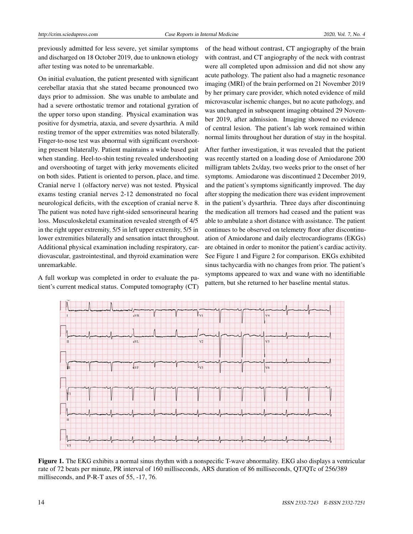previously admitted for less severe, yet similar symptoms and discharged on 18 October 2019, due to unknown etiology after testing was noted to be unremarkable.

On initial evaluation, the patient presented with significant cerebellar ataxia that she stated became pronounced two days prior to admission. She was unable to ambulate and had a severe orthostatic tremor and rotational gyration of the upper torso upon standing. Physical examination was positive for dysmetria, ataxia, and severe dysarthria. A mild resting tremor of the upper extremities was noted bilaterally. Finger-to-nose test was abnormal with significant overshooting present bilaterally. Patient maintains a wide based gait when standing. Heel-to-shin testing revealed undershooting and overshooting of target with jerky movements elicited on both sides. Patient is oriented to person, place, and time. Cranial nerve 1 (olfactory nerve) was not tested. Physical exams testing cranial nerves 2-12 demonstrated no focal neurological deficits, with the exception of cranial nerve 8. The patient was noted have right-sided sensorineural hearing loss. Musculoskeletal examination revealed strength of 4/5 in the right upper extremity, 5/5 in left upper extremity, 5/5 in lower extremities bilaterally and sensation intact throughout. Additional physical examination including respiratory, cardiovascular, gastrointestinal, and thyroid examination were unremarkable.

A full workup was completed in order to evaluate the patient's current medical status. Computed tomography (CT) of the head without contrast, CT angiography of the brain with contrast, and CT angiography of the neck with contrast were all completed upon admission and did not show any acute pathology. The patient also had a magnetic resonance imaging (MRI) of the brain performed on 21 November 2019 by her primary care provider, which noted evidence of mild microvascular ischemic changes, but no acute pathology, and was unchanged in subsequent imaging obtained 29 November 2019, after admission. Imaging showed no evidence of central lesion. The patient's lab work remained within normal limits throughout her duration of stay in the hospital.

After further investigation, it was revealed that the patient was recently started on a loading dose of Amiodarone 200 milligram tablets 2x/day, two weeks prior to the onset of her symptoms. Amiodarone was discontinued 2 December 2019, and the patient's symptoms significantly improved. The day after stopping the medication there was evident improvement in the patient's dysarthria. Three days after discontinuing the medication all tremors had ceased and the patient was able to ambulate a short distance with assistance. The patient continues to be observed on telemetry floor after discontinuation of Amiodarone and daily electrocardiograms (EKGs) are obtained in order to monitor the patient's cardiac activity. See Figure 1 and Figure 2 for comparison. EKGs exhibited sinus tachycardia with no changes from prior. The patient's symptoms appeared to wax and wane with no identifiable pattern, but she returned to her baseline mental status.



Figure 1. The EKG exhibits a normal sinus rhythm with a nonspecific T-wave abnormality. EKG also displays a ventricular rate of 72 beats per minute, PR interval of 160 milliseconds, ARS duration of 86 milliseconds, QT/QTc of 256/389 milliseconds, and P-R-T axes of 55, -17, 76.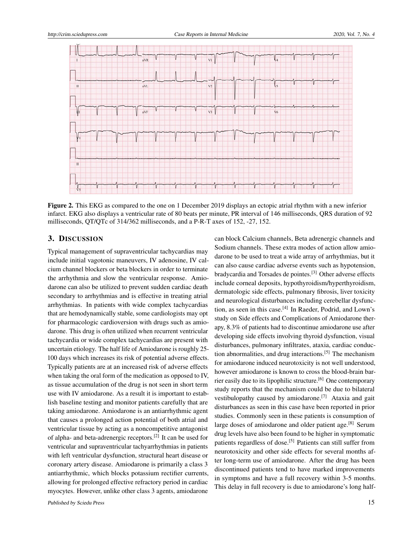

Figure 2. This EKG as compared to the one on 1 December 2019 displays an ectopic atrial rhythm with a new inferior infarct. EKG also displays a ventricular rate of 80 beats per minute, PR interval of 146 milliseconds, QRS duration of 92 milliseconds, QT/QTc of 314/362 milliseconds, and a P-R-T axes of 152, -27, 152.

## 3. DISCUSSION

Typical management of supraventricular tachycardias may include initial vagotonic maneuvers, IV adenosine, IV calcium channel blockers or beta blockers in order to terminate the arrhythmia and slow the ventricular response. Amiodarone can also be utilized to prevent sudden cardiac death secondary to arrhythmias and is effective in treating atrial arrhythmias. In patients with wide complex tachycardias that are hemodynamically stable, some cardiologists may opt for pharmacologic cardioversion with drugs such as amiodarone. This drug is often utilized when recurrent ventricular tachycardia or wide complex tachycardias are present with uncertain etiology. The half life of Amiodarone is roughly 25- 100 days which increases its risk of potential adverse effects. Typically patients are at an increased risk of adverse effects when taking the oral form of the medication as opposed to IV, as tissue accumulation of the drug is not seen in short term use with IV amiodarone. As a result it is important to establish baseline testing and monitor patients carefully that are taking amiodarone. Amiodarone is an antiarrhythmic agent that causes a prolonged action potential of both atrial and ventricular tissue by acting as a noncompetitive antagonist of alpha- and beta-adrenergic receptors.<sup>[\[2\]](#page-3-1)</sup> It can be used for ventricular and supraventricular tachyarrhythmias in patients with left ventricular dysfunction, structural heart disease or coronary artery disease. Amiodarone is primarily a class 3 antiarrhythmic, which blocks potassium rectifier currents, allowing for prolonged effective refractory period in cardiac myocytes. However, unlike other class 3 agents, amiodarone

can block Calcium channels, Beta adrenergic channels and Sodium channels. These extra modes of action allow amiodarone to be used to treat a wide array of arrhythmias, but it can also cause cardiac adverse events such as hypotension, bradycardia and Torsades de pointes.[\[3\]](#page-3-2) Other adverse effects include corneal deposits, hypothyroidism/hyperthyroidism, dermatologic side effects, pulmonary fibrosis, liver toxicity and neurological disturbances including cerebellar dysfunc-tion, as seen in this case.<sup>[\[4\]](#page-3-3)</sup> In Raeder, Podrid, and Lown's study on Side effects and Complications of Amiodarone therapy, 8.3% of patients had to discontinue amiodarone use after developing side effects involving thyroid dysfunction, visual disturbances, pulmonary infiltrates, ataxia, cardiac conduction abnormalities, and drug interactions.[\[5\]](#page-3-4) The mechanism for amiodarone induced neurotoxicity is not well understood, however amiodarone is known to cross the blood-brain bar-rier easily due to its lipophilic structure.<sup>[\[6\]](#page-3-5)</sup> One contemporary study reports that the mechanism could be due to bilateral vestibulopathy caused by amiodarone.[\[7\]](#page-3-6) Ataxia and gait disturbances as seen in this case have been reported in prior studies. Commonly seen in these patients is consumption of large doses of amiodarone and older patient age.<sup>[\[8\]](#page-3-7)</sup> Serum drug levels have also been found to be higher in symptomatic patients regardless of dose.<sup>[\[5\]](#page-3-4)</sup> Patients can still suffer from neurotoxicity and other side effects for several months after long-term use of amiodarone. After the drug has been discontinued patients tend to have marked improvements in symptoms and have a full recovery within 3-5 months. This delay in full recovery is due to amiodarone's long half